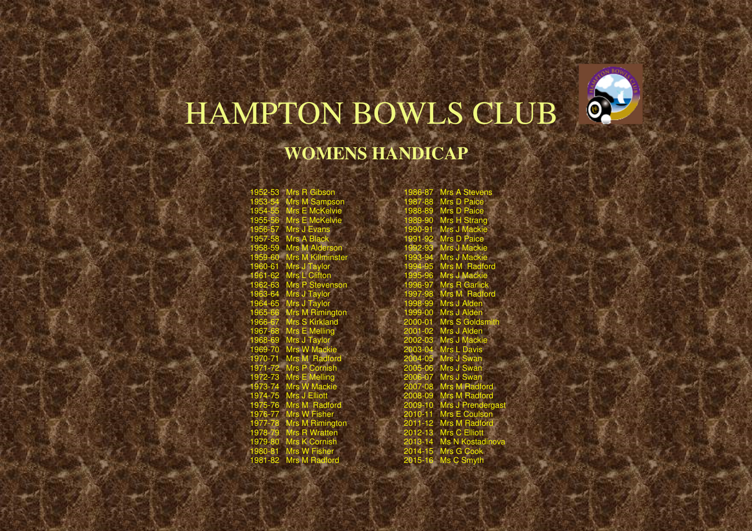

## HAMPTON BOWLS CLUB

## **WOMENS HANDICAP**

1952-53 Mrs R Gibson 1953-54 Mrs M Sampson 1954-55 Mrs E McKelvie **S** Mrs E McKelvie 1955-56 Mrs E McKelvie<br>1956-57 Mrs J Evans<br>1957-58 Mrs A Black<br>1958-59 Mrs M Alderson<br>1959-60 Mrs J Taylor<br>1961-62 Mrs L Clifton<br>1962-63 Mrs P Stevenson<br>1963-64 Mrs J Taylor 1964-65 Mrs J Taylor 6 Mrs M Rimington 1966-67 Mrs S Kirkland<br>1967-68 Mrs <mark>E</mark> Melling 1968-69 Mrs J Taylor<br>1969-70 Mrs W Mackie<br>1970-71 Mrs M Radford<br>1971-72 Mrs P Cornish<br>1972-73 Mrs W Mackie<br>1973-74 Mrs W Hadford<br>1975-76 Mrs M Radford<br>1976-77 Mrs W Fisher 1977-78 Mrs M Rimington 1978-79 Mrs R Wratten 1979-80 Mrs K Cornish 1980-81 Mrs W Fisher 1981-82 Mrs M Radford

1986-87 Mrs A Stevens<br>1987-88 Mrs D Paice 1987-88 Mrs D Paice 1988-89 Mrs D Paice 1989-90 Mrs H Strang 1990-91 Mrs J Mackie 1991-92 Mrs D Paice 1992-93 Mrs J Mackie 1993-94 Mrs J Mackie 1994-95 Mrs M Radford 1995-96 Mrs J Mackie 1996-97 Mrs R Garlick 1997-98 Mrs M Radford 1998-99 Mrs J Alden 1999-00 Mrs J Alden 2000-01 Mrs S Gold 2001-02 Mrs J Alden 2002-03 Mrs J Mackie 2003-04 Mrs L Davis 2004-05 Mrs J Swan 2005-06 Mrs J Swan 2006-07 Mrs J Swan 2007-08 Mrs M Radford 2008-09 Mrs M Radford 2009-10 Mrs J Pren 2010-11 Mrs E Cou 2011-12 Mrs M Radford 2012-13 Mrs C Elliott 2013-14 Ms N Kostadinova 2014-15 Mrs G Cook 2015-16 Ms C Smyth